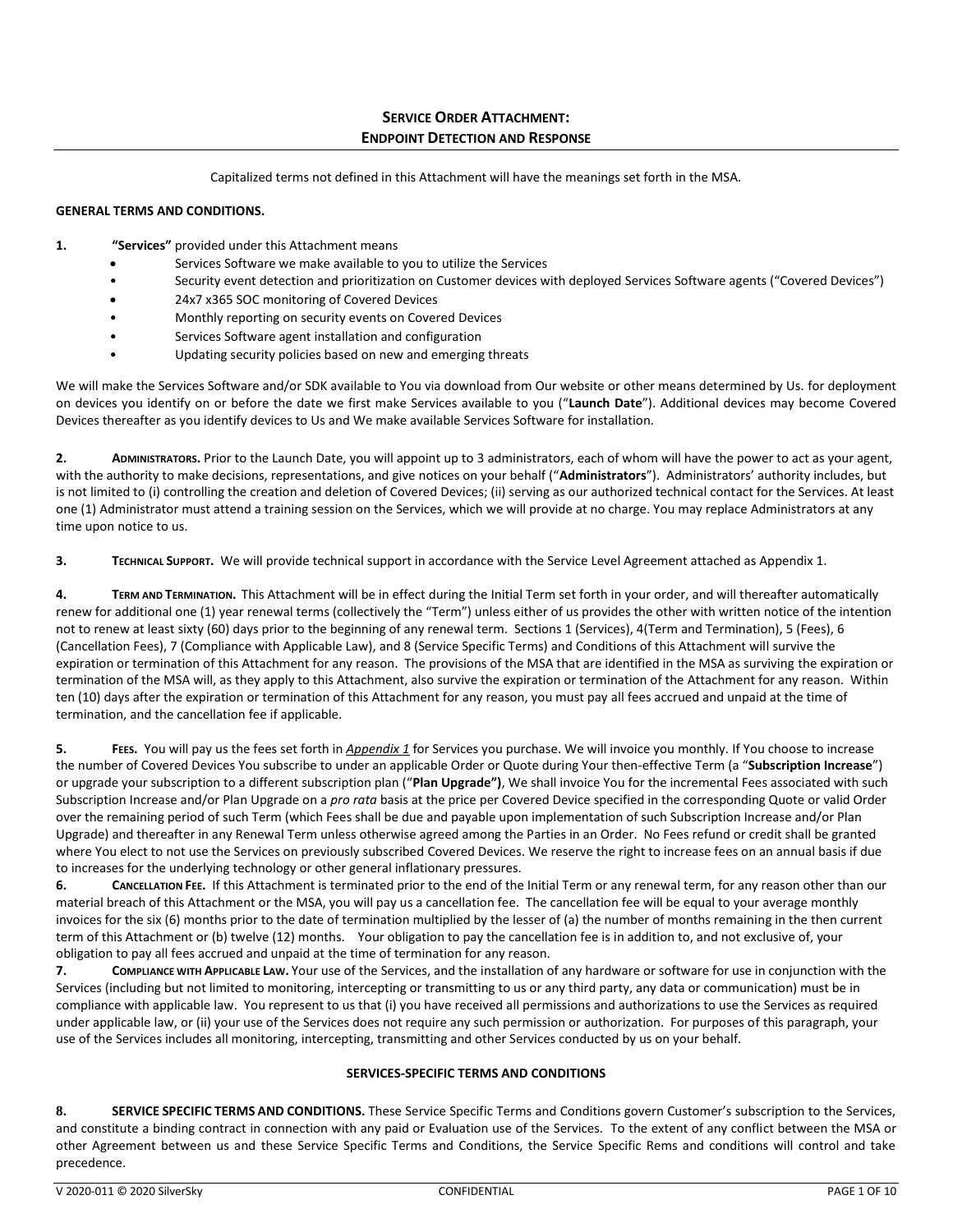Capitalized terms not defined in this Attachment will have the meanings set forth in the MSA.

## **GENERAL TERMS AND CONDITIONS.**

- **1. "Services"** provided under this Attachment means
	- Services Software we make available to you to utilize the Services
	- Security event detection and prioritization on Customer devices with deployed Services Software agents ("Covered Devices")
	- 24x7 x365 SOC monitoring of Covered Devices
	- Monthly reporting on security events on Covered Devices
	- Services Software agent installation and configuration
	- Updating security policies based on new and emerging threats

We will make the Services Software and/or SDK available to You via download from Our website or other means determined by Us. for deployment on devices you identify on or before the date we first make Services available to you ("**Launch Date**"). Additional devices may become Covered Devices thereafter as you identify devices to Us and We make available Services Software for installation.

**2. ADMINISTRATORS.** Prior to the Launch Date, you will appoint up to 3 administrators, each of whom will have the power to act as your agent, with the authority to make decisions, representations, and give notices on your behalf ("**Administrators**"). Administrators' authority includes, but is not limited to (i) controlling the creation and deletion of Covered Devices; (ii) serving as our authorized technical contact for the Services. At least one (1) Administrator must attend a training session on the Services, which we will provide at no charge. You may replace Administrators at any time upon notice to us.

**3. TECHNICAL SUPPORT.** We will provide technical support in accordance with the Service Level Agreement attached as Appendix 1.

**4. TERM AND TERMINATION.** This Attachment will be in effect during the Initial Term set forth in your order, and will thereafter automatically renew for additional one (1) year renewal terms (collectively the "Term") unless either of us provides the other with written notice of the intention not to renew at least sixty (60) days prior to the beginning of any renewal term. Sections 1 (Services), 4(Term and Termination), 5 (Fees), 6 (Cancellation Fees), 7 (Compliance with Applicable Law), and 8 (Service Specific Terms) and Conditions of this Attachment will survive the expiration or termination of this Attachment for any reason. The provisions of the MSA that are identified in the MSA as surviving the expiration or termination of the MSA will, as they apply to this Attachment, also survive the expiration or termination of the Attachment for any reason. Within ten (10) days after the expiration or termination of this Attachment for any reason, you must pay all fees accrued and unpaid at the time of termination, and the cancellation fee if applicable.

**5. FEES.** You will pay us the fees set forth in *Appendix 1* for Services you purchase. We will invoice you monthly. If You choose to increase the number of Covered Devices You subscribe to under an applicable Order or Quote during Your then-effective Term (a "**Subscription Increase**") or upgrade your subscription to a different subscription plan ("**Plan Upgrade")**, We shall invoice You for the incremental Fees associated with such Subscription Increase and/or Plan Upgrade on a *pro rata* basis at the price per Covered Device specified in the corresponding Quote or valid Order over the remaining period of such Term (which Fees shall be due and payable upon implementation of such Subscription Increase and/or Plan Upgrade) and thereafter in any Renewal Term unless otherwise agreed among the Parties in an Order. No Fees refund or credit shall be granted where You elect to not use the Services on previously subscribed Covered Devices. We reserve the right to increase fees on an annual basis if due to increases for the underlying technology or other general inflationary pressures.

**6. CANCELLATION FEE.** If this Attachment is terminated prior to the end of the Initial Term or any renewal term, for any reason other than our material breach of this Attachment or the MSA, you will pay us a cancellation fee. The cancellation fee will be equal to your average monthly invoices for the six (6) months prior to the date of termination multiplied by the lesser of (a) the number of months remaining in the then current term of this Attachment or (b) twelve (12) months. Your obligation to pay the cancellation fee is in addition to, and not exclusive of, your obligation to pay all fees accrued and unpaid at the time of termination for any reason.

**7. COMPLIANCE WITH APPLICABLE LAW.** Your use of the Services, and the installation of any hardware or software for use in conjunction with the Services (including but not limited to monitoring, intercepting or transmitting to us or any third party, any data or communication) must be in compliance with applicable law. You represent to us that (i) you have received all permissions and authorizations to use the Services as required under applicable law, or (ii) your use of the Services does not require any such permission or authorization. For purposes of this paragraph, your use of the Services includes all monitoring, intercepting, transmitting and other Services conducted by us on your behalf.

#### **SERVICES-SPECIFIC TERMS AND CONDITIONS**

**8. SERVICE SPECIFIC TERMS AND CONDITIONS.** These Service Specific Terms and Conditions govern Customer's subscription to the Services, and constitute a binding contract in connection with any paid or Evaluation use of the Services. To the extent of any conflict between the MSA or other Agreement between us and these Service Specific Terms and Conditions, the Service Specific Rems and conditions will control and take precedence.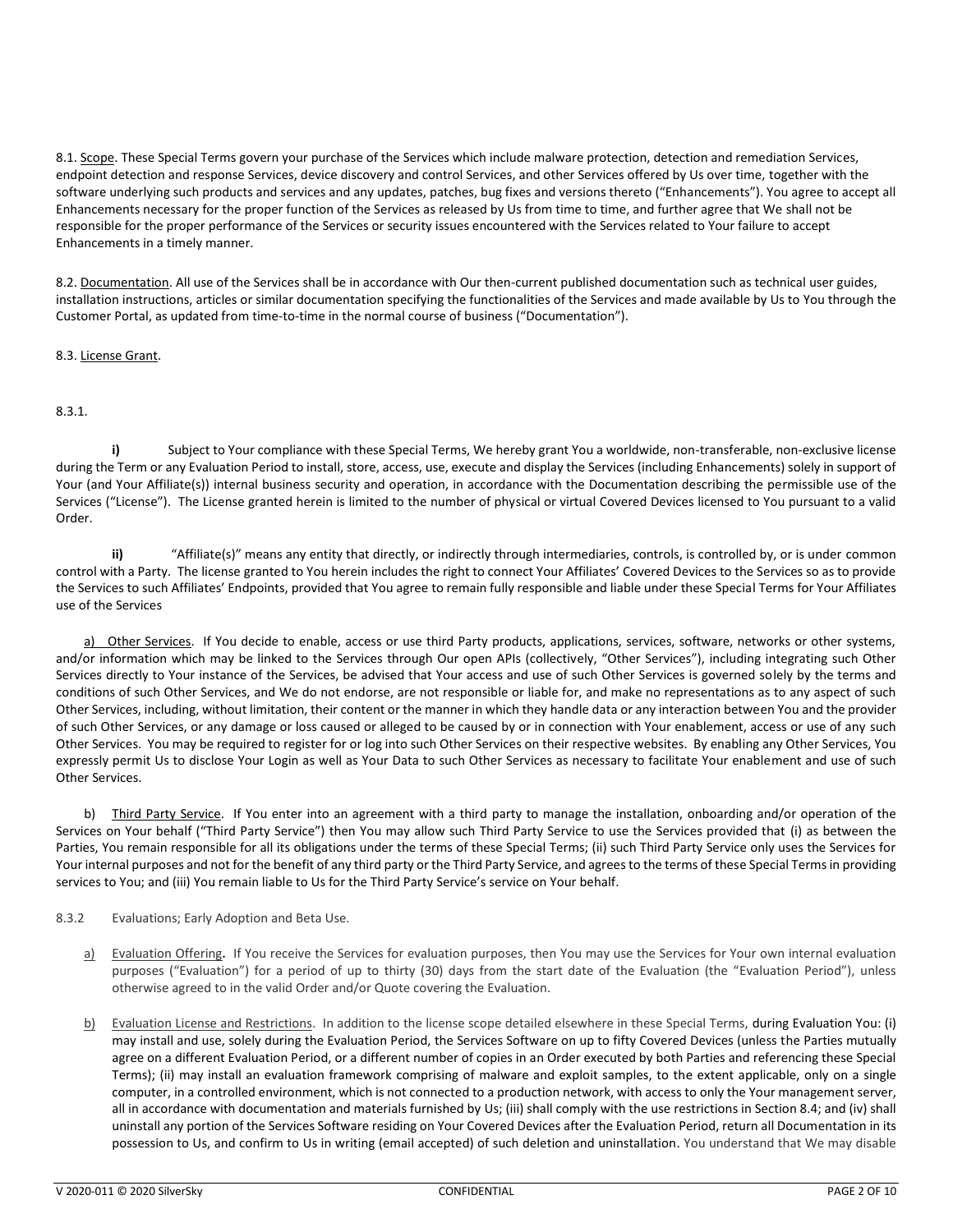8.1. Scope. These Special Terms govern your purchase of the Services which include malware protection, detection and remediation Services, endpoint detection and response Services, device discovery and control Services, and other Services offered by Us over time, together with the software underlying such products and services and any updates, patches, bug fixes and versions thereto ("Enhancements"). You agree to accept all Enhancements necessary for the proper function of the Services as released by Us from time to time, and further agree that We shall not be responsible for the proper performance of the Services or security issues encountered with the Services related to Your failure to accept Enhancements in a timely manner.

8.2. Documentation. All use of the Services shall be in accordance with Our then-current published documentation such as technical user guides, installation instructions, articles or similar documentation specifying the functionalities of the Services and made available by Us to You through the Customer Portal, as updated from time-to-time in the normal course of business ("Documentation").

# 8.3. License Grant.

# 8.3.1.

**i)** Subject to Your compliance with these Special Terms, We hereby grant You a worldwide, non-transferable, non-exclusive license during the Term or any Evaluation Period to install, store, access, use, execute and display the Services (including Enhancements) solely in support of Your (and Your Affiliate(s)) internal business security and operation, in accordance with the Documentation describing the permissible use of the Services ("License"). The License granted herein is limited to the number of physical or virtual Covered Devices licensed to You pursuant to a valid Order.

**ii)** "Affiliate(s)" means any entity that directly, or indirectly through intermediaries, controls, is controlled by, or is under common control with a Party. The license granted to You herein includes the right to connect Your Affiliates' Covered Devices to the Services so as to provide the Services to such Affiliates' Endpoints, provided that You agree to remain fully responsible and liable under these Special Terms for Your Affiliates use of the Services

a) Other Services. If You decide to enable, access or use third Party products, applications, services, software, networks or other systems, and/or information which may be linked to the Services through Our open APIs (collectively, "Other Services"), including integrating such Other Services directly to Your instance of the Services, be advised that Your access and use of such Other Services is governed solely by the terms and conditions of such Other Services, and We do not endorse, are not responsible or liable for, and make no representations as to any aspect of such Other Services, including, without limitation, their content or the manner in which they handle data or any interaction between You and the provider of such Other Services, or any damage or loss caused or alleged to be caused by or in connection with Your enablement, access or use of any such Other Services. You may be required to register for or log into such Other Services on their respective websites. By enabling any Other Services, You expressly permit Us to disclose Your Login as well as Your Data to such Other Services as necessary to facilitate Your enablement and use of such Other Services.

b) Third Party Service. If You enter into an agreement with a third party to manage the installation, onboarding and/or operation of the Services on Your behalf ("Third Party Service") then You may allow such Third Party Service to use the Services provided that (i) as between the Parties, You remain responsible for all its obligations under the terms of these Special Terms; (ii) such Third Party Service only uses the Services for Your internal purposes and not for the benefit of any third party or the Third Party Service, and agrees to the terms of these Special Terms in providing services to You; and (iii) You remain liable to Us for the Third Party Service's service on Your behalf.

## 8.3.2 Evaluations; Early Adoption and Beta Use.

- a) Evaluation Offering**.** If You receive the Services for evaluation purposes, then You may use the Services for Your own internal evaluation purposes ("Evaluation") for a period of up to thirty (30) days from the start date of the Evaluation (the "Evaluation Period"), unless otherwise agreed to in the valid Order and/or Quote covering the Evaluation.
- b) Evaluation License and Restrictions. In addition to the license scope detailed elsewhere in these Special Terms, during Evaluation You: (i) may install and use, solely during the Evaluation Period, the Services Software on up to fifty Covered Devices (unless the Parties mutually agree on a different Evaluation Period, or a different number of copies in an Order executed by both Parties and referencing these Special Terms); (ii) may install an evaluation framework comprising of malware and exploit samples, to the extent applicable, only on a single computer, in a controlled environment, which is not connected to a production network, with access to only the Your management server, all in accordance with documentation and materials furnished by Us; (iii) shall comply with the use restrictions in Section 8.4; and (iv) shall uninstall any portion of the Services Software residing on Your Covered Devices after the Evaluation Period, return all Documentation in its possession to Us, and confirm to Us in writing (email accepted) of such deletion and uninstallation. You understand that We may disable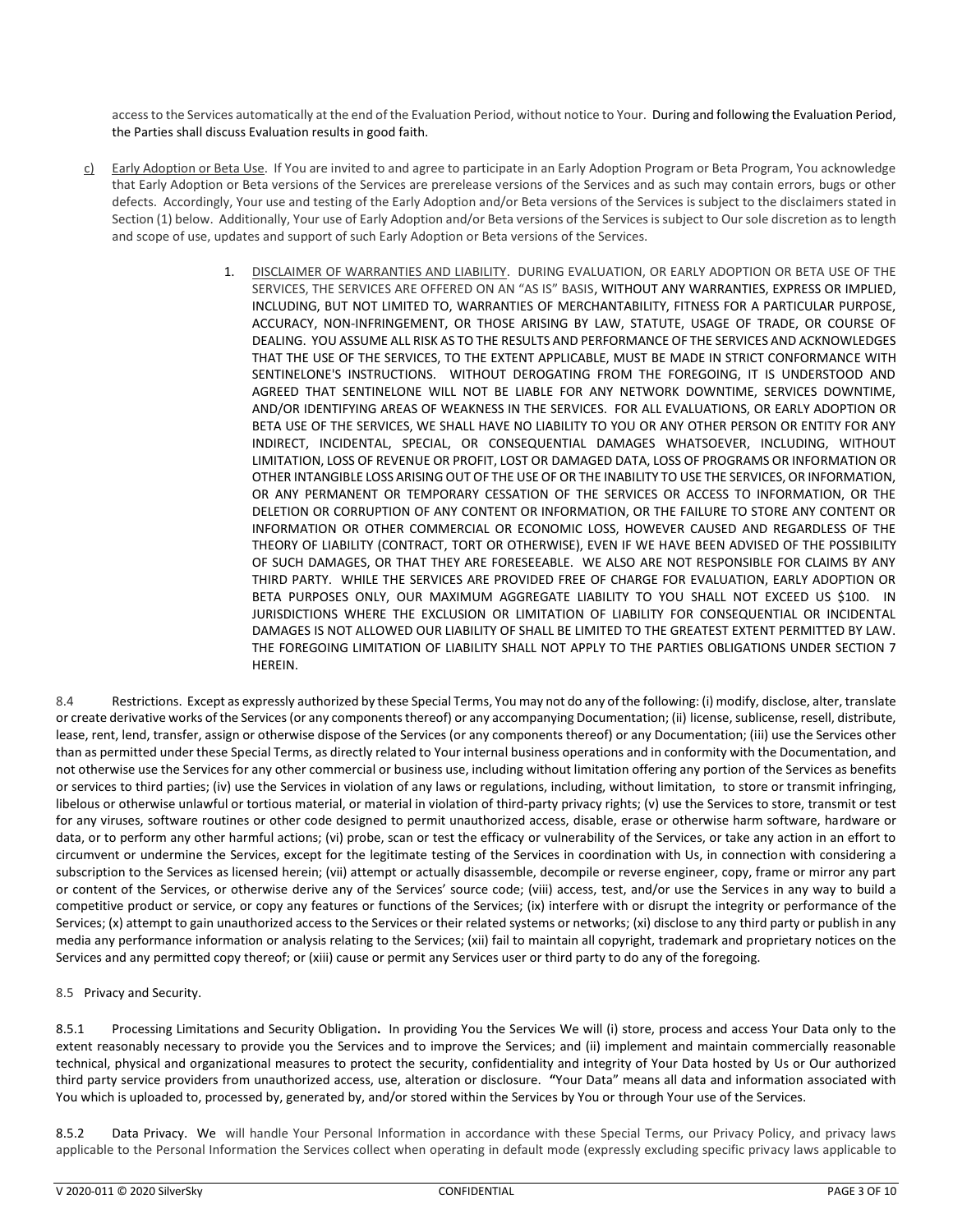access to the Services automatically at the end of the Evaluation Period, without notice to Your. During and following the Evaluation Period, the Parties shall discuss Evaluation results in good faith.

- c) Early Adoption or Beta Use. If You are invited to and agree to participate in an Early Adoption Program or Beta Program, You acknowledge that Early Adoption or Beta versions of the Services are prerelease versions of the Services and as such may contain errors, bugs or other defects. Accordingly, Your use and testing of the Early Adoption and/or Beta versions of the Services is subject to the disclaimers stated in Section (1) below. Additionally, Your use of Early Adoption and/or Beta versions of the Services is subject to Our sole discretion as to length and scope of use, updates and support of such Early Adoption or Beta versions of the Services.
	- 1. DISCLAIMER OF WARRANTIES AND LIABILITY. DURING EVALUATION, OR EARLY ADOPTION OR BETA USE OF THE SERVICES, THE SERVICES ARE OFFERED ON AN "AS IS" BASIS, WITHOUT ANY WARRANTIES, EXPRESS OR IMPLIED, INCLUDING, BUT NOT LIMITED TO, WARRANTIES OF MERCHANTABILITY, FITNESS FOR A PARTICULAR PURPOSE, ACCURACY, NON-INFRINGEMENT, OR THOSE ARISING BY LAW, STATUTE, USAGE OF TRADE, OR COURSE OF DEALING. YOU ASSUME ALL RISK AS TO THE RESULTS AND PERFORMANCE OF THE SERVICES AND ACKNOWLEDGES THAT THE USE OF THE SERVICES, TO THE EXTENT APPLICABLE, MUST BE MADE IN STRICT CONFORMANCE WITH SENTINELONE'S INSTRUCTIONS. WITHOUT DEROGATING FROM THE FOREGOING, IT IS UNDERSTOOD AND AGREED THAT SENTINELONE WILL NOT BE LIABLE FOR ANY NETWORK DOWNTIME, SERVICES DOWNTIME, AND/OR IDENTIFYING AREAS OF WEAKNESS IN THE SERVICES. FOR ALL EVALUATIONS, OR EARLY ADOPTION OR BETA USE OF THE SERVICES, WE SHALL HAVE NO LIABILITY TO YOU OR ANY OTHER PERSON OR ENTITY FOR ANY INDIRECT, INCIDENTAL, SPECIAL, OR CONSEQUENTIAL DAMAGES WHATSOEVER, INCLUDING, WITHOUT LIMITATION, LOSS OF REVENUE OR PROFIT, LOST OR DAMAGED DATA, LOSS OF PROGRAMS OR INFORMATION OR OTHER INTANGIBLE LOSS ARISING OUT OF THE USE OF OR THE INABILITY TO USE THE SERVICES, OR INFORMATION, OR ANY PERMANENT OR TEMPORARY CESSATION OF THE SERVICES OR ACCESS TO INFORMATION, OR THE DELETION OR CORRUPTION OF ANY CONTENT OR INFORMATION, OR THE FAILURE TO STORE ANY CONTENT OR INFORMATION OR OTHER COMMERCIAL OR ECONOMIC LOSS, HOWEVER CAUSED AND REGARDLESS OF THE THEORY OF LIABILITY (CONTRACT, TORT OR OTHERWISE), EVEN IF WE HAVE BEEN ADVISED OF THE POSSIBILITY OF SUCH DAMAGES, OR THAT THEY ARE FORESEEABLE. WE ALSO ARE NOT RESPONSIBLE FOR CLAIMS BY ANY THIRD PARTY. WHILE THE SERVICES ARE PROVIDED FREE OF CHARGE FOR EVALUATION, EARLY ADOPTION OR BETA PURPOSES ONLY, OUR MAXIMUM AGGREGATE LIABILITY TO YOU SHALL NOT EXCEED US \$100. IN JURISDICTIONS WHERE THE EXCLUSION OR LIMITATION OF LIABILITY FOR CONSEQUENTIAL OR INCIDENTAL DAMAGES IS NOT ALLOWED OUR LIABILITY OF SHALL BE LIMITED TO THE GREATEST EXTENT PERMITTED BY LAW. THE FOREGOING LIMITATION OF LIABILITY SHALL NOT APPLY TO THE PARTIES OBLIGATIONS UNDER SECTION 7 HEREIN.

8.4 Restrictions. Except as expressly authorized by these Special Terms, You may not do any of the following: (i) modify, disclose, alter, translate or create derivative works of the Services (or any components thereof) or any accompanying Documentation; (ii) license, sublicense, resell, distribute, lease, rent, lend, transfer, assign or otherwise dispose of the Services (or any components thereof) or any Documentation; (iii) use the Services other than as permitted under these Special Terms, as directly related to Your internal business operations and in conformity with the Documentation, and not otherwise use the Services for any other commercial or business use, including without limitation offering any portion of the Services as benefits or services to third parties; (iv) use the Services in violation of any laws or regulations, including, without limitation, to store or transmit infringing, libelous or otherwise unlawful or tortious material, or material in violation of third-party privacy rights; (v) use the Services to store, transmit or test for any viruses, software routines or other code designed to permit unauthorized access, disable, erase or otherwise harm software, hardware or data, or to perform any other harmful actions; (vi) probe, scan or test the efficacy or vulnerability of the Services, or take any action in an effort to circumvent or undermine the Services, except for the legitimate testing of the Services in coordination with Us, in connection with considering a subscription to the Services as licensed herein; (vii) attempt or actually disassemble, decompile or reverse engineer, copy, frame or mirror any part or content of the Services, or otherwise derive any of the Services' source code; (viii) access, test, and/or use the Services in any way to build a competitive product or service, or copy any features or functions of the Services; (ix) interfere with or disrupt the integrity or performance of the Services; (x) attempt to gain unauthorized access to the Services or their related systems or networks; (xi) disclose to any third party or publish in any media any performance information or analysis relating to the Services; (xii) fail to maintain all copyright, trademark and proprietary notices on the Services and any permitted copy thereof; or (xiii) cause or permit any Services user or third party to do any of the foregoing.

8.5 Privacy and Security.

8.5.1 Processing Limitations and Security Obligation**.** In providing You the Services We will (i) store, process and access Your Data only to the extent reasonably necessary to provide you the Services and to improve the Services; and (ii) implement and maintain commercially reasonable technical, physical and organizational measures to protect the security, confidentiality and integrity of Your Data hosted by Us or Our authorized third party service providers from unauthorized access, use, alteration or disclosure. **"**Your Data" means all data and information associated with You which is uploaded to, processed by, generated by, and/or stored within the Services by You or through Your use of the Services.

8.5.2 Data Privacy. We will handle Your Personal Information in accordance with these Special Terms, our Privacy Policy, and privacy laws applicable to the Personal Information the Services collect when operating in default mode (expressly excluding specific privacy laws applicable to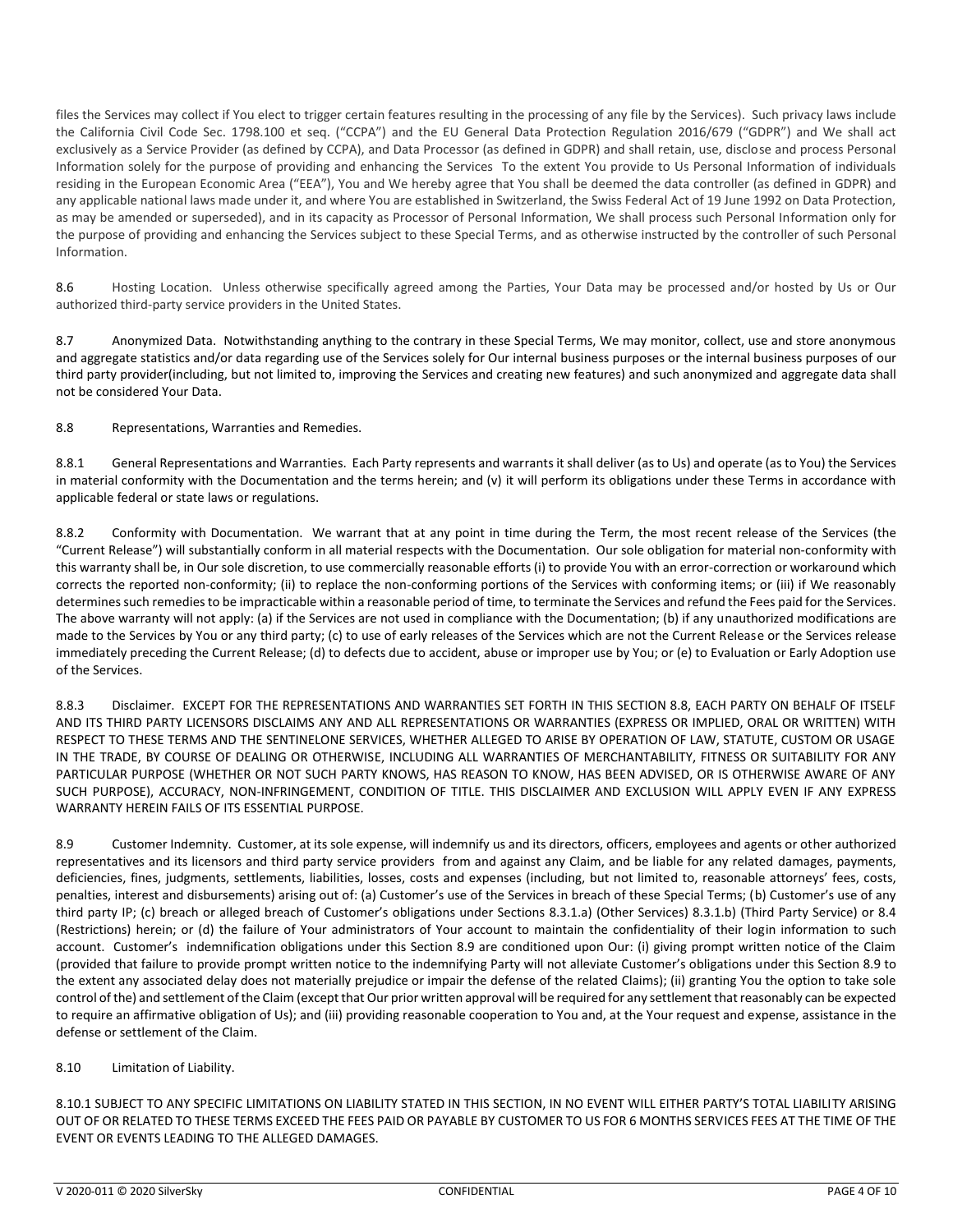files the Services may collect if You elect to trigger certain features resulting in the processing of any file by the Services). Such privacy laws include the California Civil Code Sec. 1798.100 et seq. ("CCPA") and the EU General Data Protection Regulation 2016/679 ("GDPR") and We shall act exclusively as a Service Provider (as defined by CCPA), and Data Processor (as defined in GDPR) and shall retain, use, disclose and process Personal Information solely for the purpose of providing and enhancing the Services To the extent You provide to Us Personal Information of individuals residing in the European Economic Area ("EEA"), You and We hereby agree that You shall be deemed the data controller (as defined in GDPR) and any applicable national laws made under it, and where You are established in Switzerland, the Swiss Federal Act of 19 June 1992 on Data Protection, as may be amended or superseded), and in its capacity as Processor of Personal Information, We shall process such Personal Information only for the purpose of providing and enhancing the Services subject to these Special Terms, and as otherwise instructed by the controller of such Personal Information.

8.6 Hosting Location. Unless otherwise specifically agreed among the Parties, Your Data may be processed and/or hosted by Us or Our authorized third-party service providers in the United States.

8.7 Anonymized Data. Notwithstanding anything to the contrary in these Special Terms, We may monitor, collect, use and store anonymous and aggregate statistics and/or data regarding use of the Services solely for Our internal business purposes or the internal business purposes of our third party provider(including, but not limited to, improving the Services and creating new features) and such anonymized and aggregate data shall not be considered Your Data.

8.8 Representations, Warranties and Remedies.

8.8.1 General Representations and Warranties. Each Party represents and warrants it shall deliver (as to Us) and operate (as to You) the Services in material conformity with the Documentation and the terms herein; and (v) it will perform its obligations under these Terms in accordance with applicable federal or state laws or regulations.

8.8.2 Conformity with Documentation. We warrant that at any point in time during the Term, the most recent release of the Services (the "Current Release") will substantially conform in all material respects with the Documentation. Our sole obligation for material non-conformity with this warranty shall be, in Our sole discretion, to use commercially reasonable efforts (i) to provide You with an error-correction or workaround which corrects the reported non-conformity; (ii) to replace the non-conforming portions of the Services with conforming items; or (iii) if We reasonably determines such remedies to be impracticable within a reasonable period of time, to terminate the Services and refund the Fees paid for the Services. The above warranty will not apply: (a) if the Services are not used in compliance with the Documentation; (b) if any unauthorized modifications are made to the Services by You or any third party; (c) to use of early releases of the Services which are not the Current Release or the Services release immediately preceding the Current Release; (d) to defects due to accident, abuse or improper use by You; or (e) to Evaluation or Early Adoption use of the Services.

8.8.3 Disclaimer. EXCEPT FOR THE REPRESENTATIONS AND WARRANTIES SET FORTH IN THIS SECTION 8.8, EACH PARTY ON BEHALF OF ITSELF AND ITS THIRD PARTY LICENSORS DISCLAIMS ANY AND ALL REPRESENTATIONS OR WARRANTIES (EXPRESS OR IMPLIED, ORAL OR WRITTEN) WITH RESPECT TO THESE TERMS AND THE SENTINELONE SERVICES, WHETHER ALLEGED TO ARISE BY OPERATION OF LAW, STATUTE, CUSTOM OR USAGE IN THE TRADE, BY COURSE OF DEALING OR OTHERWISE, INCLUDING ALL WARRANTIES OF MERCHANTABILITY, FITNESS OR SUITABILITY FOR ANY PARTICULAR PURPOSE (WHETHER OR NOT SUCH PARTY KNOWS, HAS REASON TO KNOW, HAS BEEN ADVISED, OR IS OTHERWISE AWARE OF ANY SUCH PURPOSE), ACCURACY, NON-INFRINGEMENT, CONDITION OF TITLE. THIS DISCLAIMER AND EXCLUSION WILL APPLY EVEN IF ANY EXPRESS WARRANTY HEREIN FAILS OF ITS ESSENTIAL PURPOSE.

8.9 Customer Indemnity. Customer, at its sole expense, will indemnify us and its directors, officers, employees and agents or other authorized representatives and its licensors and third party service providers from and against any Claim, and be liable for any related damages, payments, deficiencies, fines, judgments, settlements, liabilities, losses, costs and expenses (including, but not limited to, reasonable attorneys' fees, costs, penalties, interest and disbursements) arising out of: (a) Customer's use of the Services in breach of these Special Terms; (b) Customer's use of any third party IP; (c) breach or alleged breach of Customer's obligations under Sections 8.3.1.a) (Other Services) 8.3.1.b) (Third Party Service) or 8.4 (Restrictions) herein; or (d) the failure of Your administrators of Your account to maintain the confidentiality of their login information to such account. Customer's indemnification obligations under this Section 8.9 are conditioned upon Our: (i) giving prompt written notice of the Claim (provided that failure to provide prompt written notice to the indemnifying Party will not alleviate Customer's obligations under this Section 8.9 to the extent any associated delay does not materially prejudice or impair the defense of the related Claims); (ii) granting You the option to take sole control of the) and settlement of the Claim (except that Our prior written approval will be required for any settlement that reasonably can be expected to require an affirmative obligation of Us); and (iii) providing reasonable cooperation to You and, at the Your request and expense, assistance in the defense or settlement of the Claim.

# 8.10 Limitation of Liability.

8.10.1 SUBJECT TO ANY SPECIFIC LIMITATIONS ON LIABILITY STATED IN THIS SECTION, IN NO EVENT WILL EITHER PARTY'S TOTAL LIABILITY ARISING OUT OF OR RELATED TO THESE TERMS EXCEED THE FEES PAID OR PAYABLE BY CUSTOMER TO US FOR 6 MONTHS SERVICES FEES AT THE TIME OF THE EVENT OR EVENTS LEADING TO THE ALLEGED DAMAGES.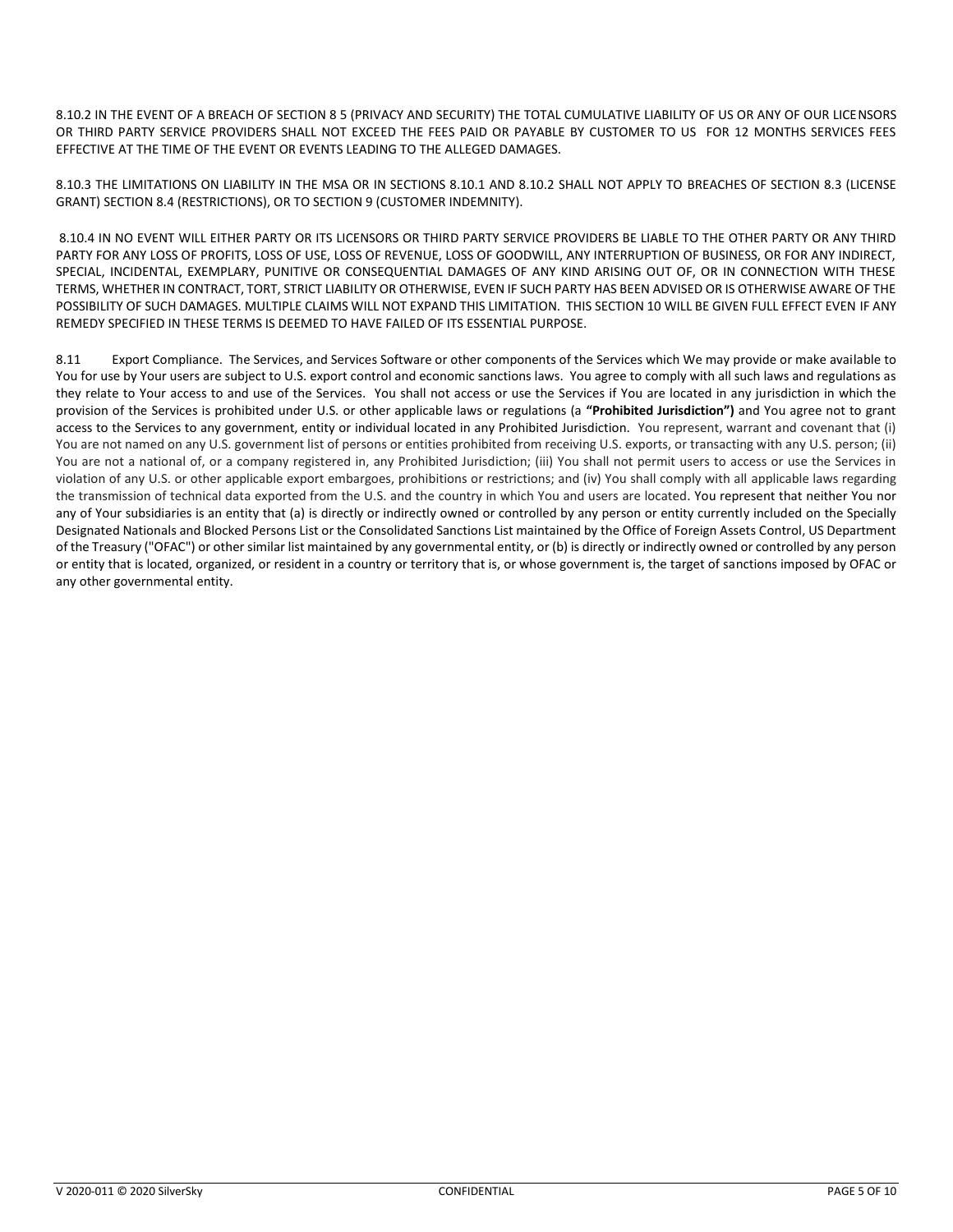8.10.2 IN THE EVENT OF A BREACH OF SECTION 8 5 (PRIVACY AND SECURITY) THE TOTAL CUMULATIVE LIABILITY OF US OR ANY OF OUR LICENSORS OR THIRD PARTY SERVICE PROVIDERS SHALL NOT EXCEED THE FEES PAID OR PAYABLE BY CUSTOMER TO US FOR 12 MONTHS SERVICES FEES EFFECTIVE AT THE TIME OF THE EVENT OR EVENTS LEADING TO THE ALLEGED DAMAGES.

8.10.3 THE LIMITATIONS ON LIABILITY IN THE MSA OR IN SECTIONS 8.10.1 AND 8.10.2 SHALL NOT APPLY TO BREACHES OF SECTION 8.3 (LICENSE GRANT) SECTION 8.4 (RESTRICTIONS), OR TO SECTION 9 (CUSTOMER INDEMNITY).

8.10.4 IN NO EVENT WILL EITHER PARTY OR ITS LICENSORS OR THIRD PARTY SERVICE PROVIDERS BE LIABLE TO THE OTHER PARTY OR ANY THIRD PARTY FOR ANY LOSS OF PROFITS, LOSS OF USE, LOSS OF REVENUE, LOSS OF GOODWILL, ANY INTERRUPTION OF BUSINESS, OR FOR ANY INDIRECT, SPECIAL, INCIDENTAL, EXEMPLARY, PUNITIVE OR CONSEQUENTIAL DAMAGES OF ANY KIND ARISING OUT OF, OR IN CONNECTION WITH THESE TERMS, WHETHER IN CONTRACT, TORT, STRICT LIABILITY OR OTHERWISE, EVEN IF SUCH PARTY HAS BEEN ADVISED OR IS OTHERWISE AWARE OF THE POSSIBILITY OF SUCH DAMAGES. MULTIPLE CLAIMS WILL NOT EXPAND THIS LIMITATION. THIS SECTION 10 WILL BE GIVEN FULL EFFECT EVEN IF ANY REMEDY SPECIFIED IN THESE TERMS IS DEEMED TO HAVE FAILED OF ITS ESSENTIAL PURPOSE.

8.11 Export Compliance. The Services, and Services Software or other components of the Services which We may provide or make available to You for use by Your users are subject to U.S. export control and economic sanctions laws. You agree to comply with all such laws and regulations as they relate to Your access to and use of the Services. You shall not access or use the Services if You are located in any jurisdiction in which the provision of the Services is prohibited under U.S. or other applicable laws or regulations (a **"Prohibited Jurisdiction")** and You agree not to grant access to the Services to any government, entity or individual located in any Prohibited Jurisdiction. You represent, warrant and covenant that (i) You are not named on any U.S. government list of persons or entities prohibited from receiving U.S. exports, or transacting with any U.S. person; (ii) You are not a national of, or a company registered in, any Prohibited Jurisdiction; (iii) You shall not permit users to access or use the Services in violation of any U.S. or other applicable export embargoes, prohibitions or restrictions; and (iv) You shall comply with all applicable laws regarding the transmission of technical data exported from the U.S. and the country in which You and users are located. You represent that neither You nor any of Your subsidiaries is an entity that (a) is directly or indirectly owned or controlled by any person or entity currently included on the Specially Designated Nationals and Blocked Persons List or the Consolidated Sanctions List maintained by the Office of Foreign Assets Control, US Department of the Treasury ("OFAC") or other similar list maintained by any governmental entity, or (b) is directly or indirectly owned or controlled by any person or entity that is located, organized, or resident in a country or territory that is, or whose government is, the target of sanctions imposed by OFAC or any other governmental entity.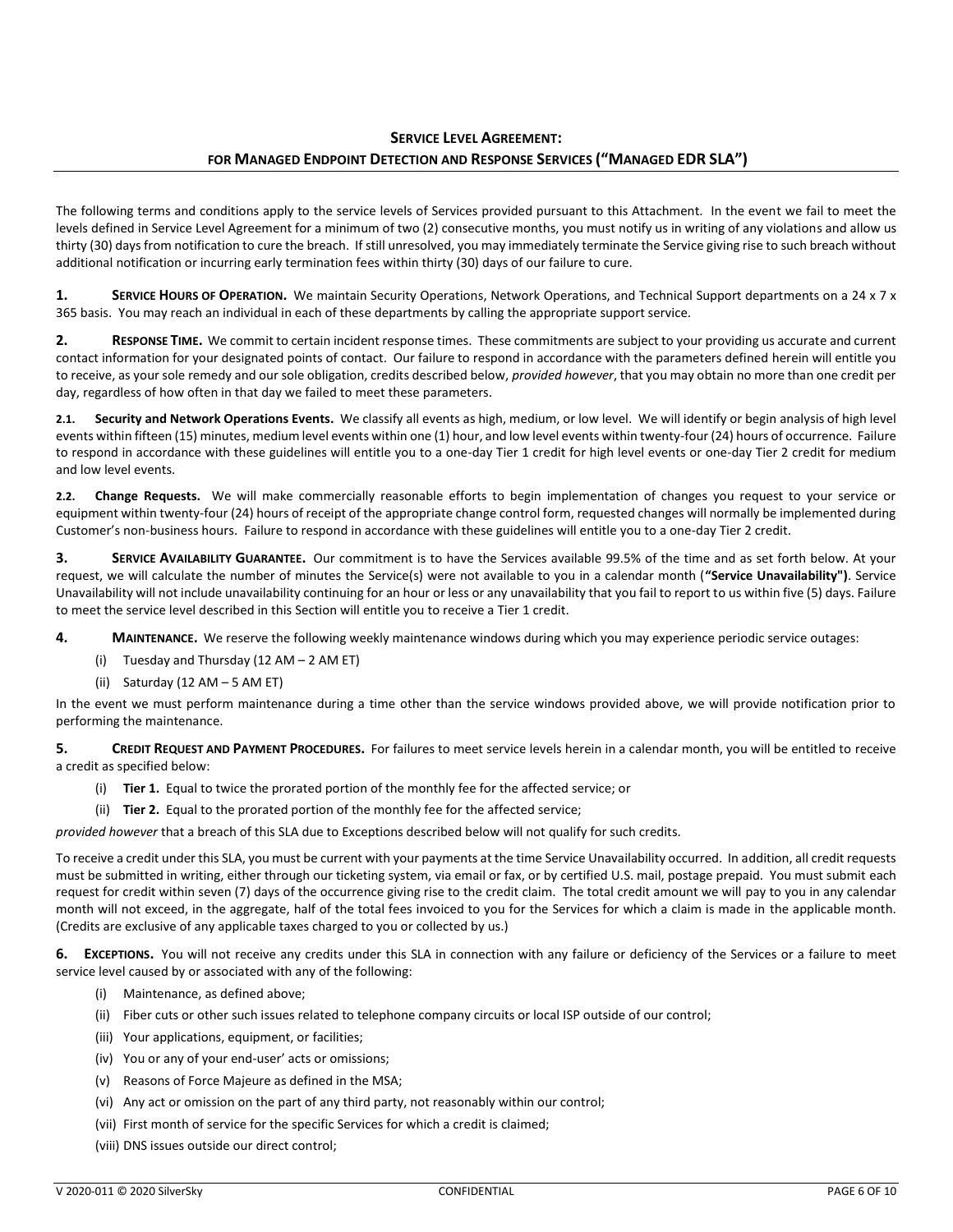# **SERVICE LEVEL AGREEMENT: FOR MANAGED ENDPOINT DETECTION AND RESPONSE SERVICES ("MANAGED EDR SLA")**

The following terms and conditions apply to the service levels of Services provided pursuant to this Attachment. In the event we fail to meet the levels defined in Service Level Agreement for a minimum of two (2) consecutive months, you must notify us in writing of any violations and allow us thirty (30) days from notification to cure the breach. If still unresolved, you may immediately terminate the Service giving rise to such breach without additional notification or incurring early termination fees within thirty (30) days of our failure to cure.

**1.** SERVICE HOURS OF OPERATION. We maintain Security Operations, Network Operations, and Technical Support departments on a 24 x 7 x 365 basis. You may reach an individual in each of these departments by calling the appropriate support service.

**2. RESPONSE TIME.** We commit to certain incident response times. These commitments are subject to your providing us accurate and current contact information for your designated points of contact. Our failure to respond in accordance with the parameters defined herein will entitle you to receive, as your sole remedy and our sole obligation, credits described below, *provided however*, that you may obtain no more than one credit per day, regardless of how often in that day we failed to meet these parameters.

**2.1. Security and Network Operations Events.** We classify all events as high, medium, or low level. We will identify or begin analysis of high level events within fifteen (15) minutes, medium level events within one (1) hour, and low level events within twenty-four (24) hours of occurrence. Failure to respond in accordance with these guidelines will entitle you to a one-day Tier 1 credit for high level events or one-day Tier 2 credit for medium and low level events.

**2.2. Change Requests.** We will make commercially reasonable efforts to begin implementation of changes you request to your service or equipment within twenty-four (24) hours of receipt of the appropriate change control form, requested changes will normally be implemented during Customer's non-business hours. Failure to respond in accordance with these guidelines will entitle you to a one-day Tier 2 credit.

**3. SERVICE AVAILABILITY GUARANTEE.** Our commitment is to have the Services available 99.5% of the time and as set forth below. At your request, we will calculate the number of minutes the Service(s) were not available to you in a calendar month (**"Service Unavailability")**. Service Unavailability will not include unavailability continuing for an hour or less or any unavailability that you fail to report to us within five (5) days. Failure to meet the service level described in this Section will entitle you to receive a Tier 1 credit.

**4. MAINTENANCE.** We reserve the following weekly maintenance windows during which you may experience periodic service outages:

- (i) Tuesday and Thursday (12 AM 2 AM ET)
- (ii) Saturday (12 AM 5 AM ET)

In the event we must perform maintenance during a time other than the service windows provided above, we will provide notification prior to performing the maintenance.

**5. CREDIT REQUEST AND PAYMENT PROCEDURES.** For failures to meet service levels herein in a calendar month, you will be entitled to receive a credit as specified below:

- (i) **Tier 1.** Equal to twice the prorated portion of the monthly fee for the affected service; or
- (ii) **Tier 2.** Equal to the prorated portion of the monthly fee for the affected service;

*provided however* that a breach of this SLA due to Exceptions described below will not qualify for such credits.

To receive a credit under this SLA, you must be current with your payments at the time Service Unavailability occurred. In addition, all credit requests must be submitted in writing, either through our ticketing system, via email or fax, or by certified U.S. mail, postage prepaid. You must submit each request for credit within seven (7) days of the occurrence giving rise to the credit claim. The total credit amount we will pay to you in any calendar month will not exceed, in the aggregate, half of the total fees invoiced to you for the Services for which a claim is made in the applicable month. (Credits are exclusive of any applicable taxes charged to you or collected by us.)

**6. EXCEPTIONS.** You will not receive any credits under this SLA in connection with any failure or deficiency of the Services or a failure to meet service level caused by or associated with any of the following:

- (i) Maintenance, as defined above;
- (ii) Fiber cuts or other such issues related to telephone company circuits or local ISP outside of our control;
- (iii) Your applications, equipment, or facilities;
- (iv) You or any of your end-user' acts or omissions;
- (v) Reasons of Force Majeure as defined in the MSA;
- (vi) Any act or omission on the part of any third party, not reasonably within our control;
- (vii) First month of service for the specific Services for which a credit is claimed;
- (viii) DNS issues outside our direct control;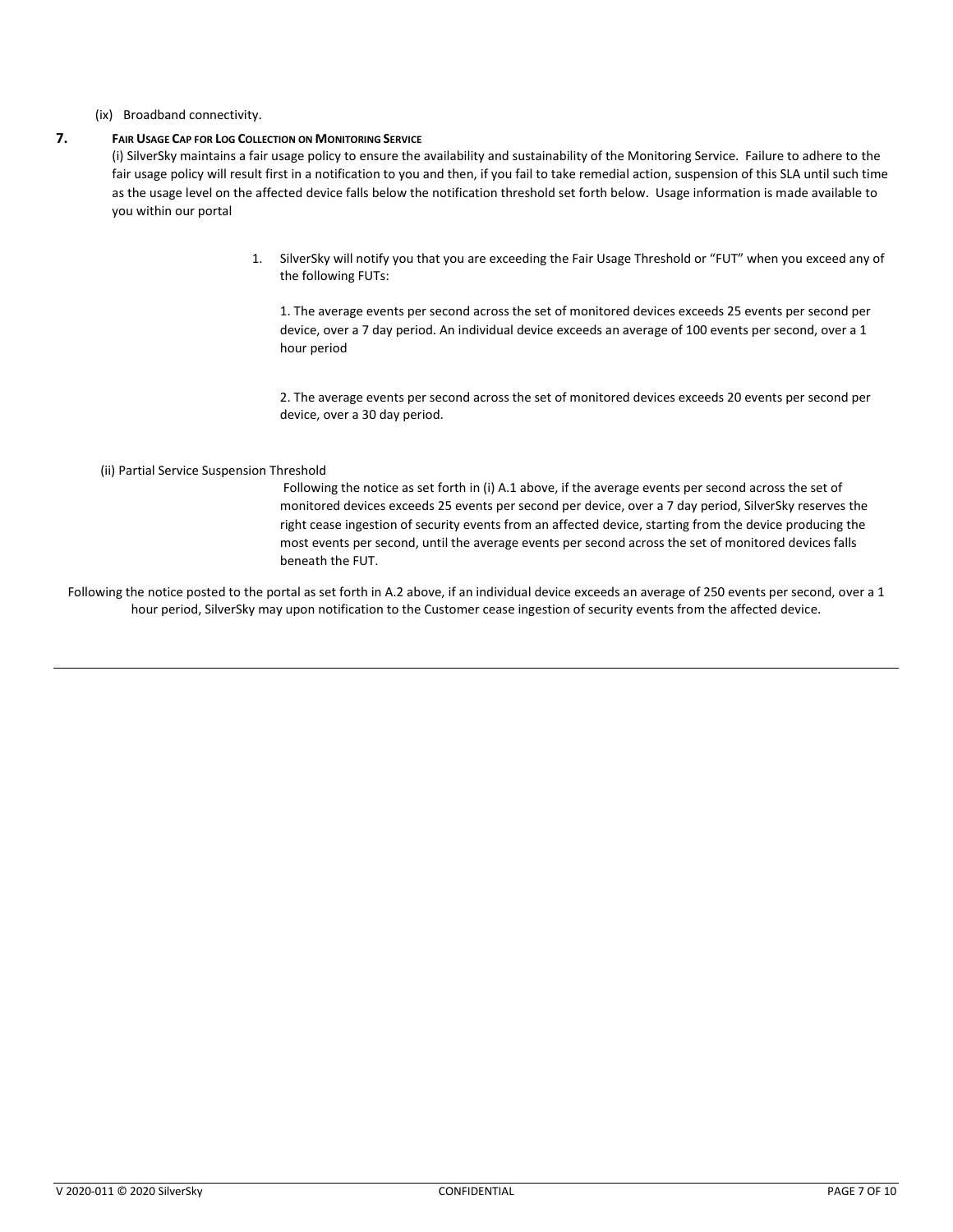## (ix) Broadband connectivity.

# **7. FAIR USAGE CAP FOR LOG COLLECTION ON MONITORING SERVICE**

(i) SilverSky maintains a fair usage policy to ensure the availability and sustainability of the Monitoring Service. Failure to adhere to the fair usage policy will result first in a notification to you and then, if you fail to take remedial action, suspension of this SLA until such time as the usage level on the affected device falls below the notification threshold set forth below. Usage information is made available to you within our portal

> 1. SilverSky will notify you that you are exceeding the Fair Usage Threshold or "FUT" when you exceed any of the following FUTs:

1. The average events per second across the set of monitored devices exceeds 25 events per second per device, over a 7 day period. An individual device exceeds an average of 100 events per second, over a 1 hour period

2. The average events per second across the set of monitored devices exceeds 20 events per second per device, over a 30 day period.

#### (ii) Partial Service Suspension Threshold

Following the notice as set forth in (i) A.1 above, if the average events per second across the set of monitored devices exceeds 25 events per second per device, over a 7 day period, SilverSky reserves the right cease ingestion of security events from an affected device, starting from the device producing the most events per second, until the average events per second across the set of monitored devices falls beneath the FUT.

Following the notice posted to the portal as set forth in A.2 above, if an individual device exceeds an average of 250 events per second, over a 1 hour period, SilverSky may upon notification to the Customer cease ingestion of security events from the affected device.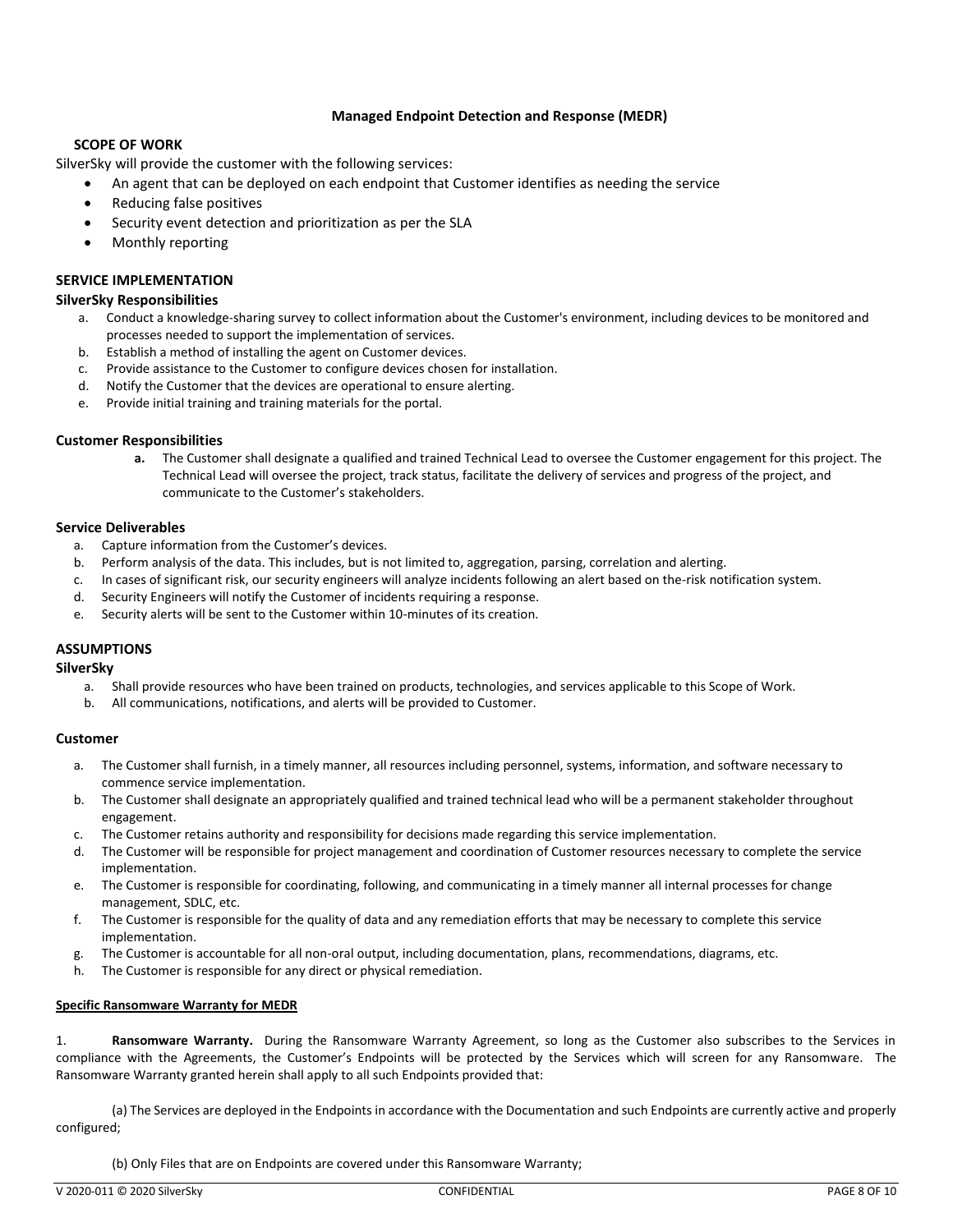# **Managed Endpoint Detection and Response (MEDR)**

# **SCOPE OF WORK**

SilverSky will provide the customer with the following services:

- An agent that can be deployed on each endpoint that Customer identifies as needing the service
- Reducing false positives
- Security event detection and prioritization as per the SLA
- Monthly reporting

# **SERVICE IMPLEMENTATION**

#### **SilverSky Responsibilities**

- a. Conduct a knowledge-sharing survey to collect information about the Customer's environment, including devices to be monitored and processes needed to support the implementation of services.
- b. Establish a method of installing the agent on Customer devices.
- c. Provide assistance to the Customer to configure devices chosen for installation.
- d. Notify the Customer that the devices are operational to ensure alerting.
- e. Provide initial training and training materials for the portal.

## **Customer Responsibilities**

**a.** The Customer shall designate a qualified and trained Technical Lead to oversee the Customer engagement for this project. The Technical Lead will oversee the project, track status, facilitate the delivery of services and progress of the project, and communicate to the Customer's stakeholders.

#### **Service Deliverables**

- a. Capture information from the Customer's devices.
- b. Perform analysis of the data. This includes, but is not limited to, aggregation, parsing, correlation and alerting.
- c. In cases of significant risk, our security engineers will analyze incidents following an alert based on the-risk notification system.
- d. Security Engineers will notify the Customer of incidents requiring a response.
- e. Security alerts will be sent to the Customer within 10-minutes of its creation.

## **ASSUMPTIONS**

**SilverSky**

- a. Shall provide resources who have been trained on products, technologies, and services applicable to this Scope of Work.
- b. All communications, notifications, and alerts will be provided to Customer.

## **Customer**

- a. The Customer shall furnish, in a timely manner, all resources including personnel, systems, information, and software necessary to commence service implementation.
- b. The Customer shall designate an appropriately qualified and trained technical lead who will be a permanent stakeholder throughout engagement.
- c. The Customer retains authority and responsibility for decisions made regarding this service implementation.
- d. The Customer will be responsible for project management and coordination of Customer resources necessary to complete the service implementation.
- e. The Customer is responsible for coordinating, following, and communicating in a timely manner all internal processes for change management, SDLC, etc.
- f. The Customer is responsible for the quality of data and any remediation efforts that may be necessary to complete this service implementation.
- g. The Customer is accountable for all non-oral output, including documentation, plans, recommendations, diagrams, etc.
- h. The Customer is responsible for any direct or physical remediation.

## **Specific Ransomware Warranty for MEDR**

1. **Ransomware Warranty.** During the Ransomware Warranty Agreement, so long as the Customer also subscribes to the Services in compliance with the Agreements, the Customer's Endpoints will be protected by the Services which will screen for any Ransomware. The Ransomware Warranty granted herein shall apply to all such Endpoints provided that:

(a) The Services are deployed in the Endpoints in accordance with the Documentation and such Endpoints are currently active and properly configured;

(b) Only Files that are on Endpoints are covered under this Ransomware Warranty;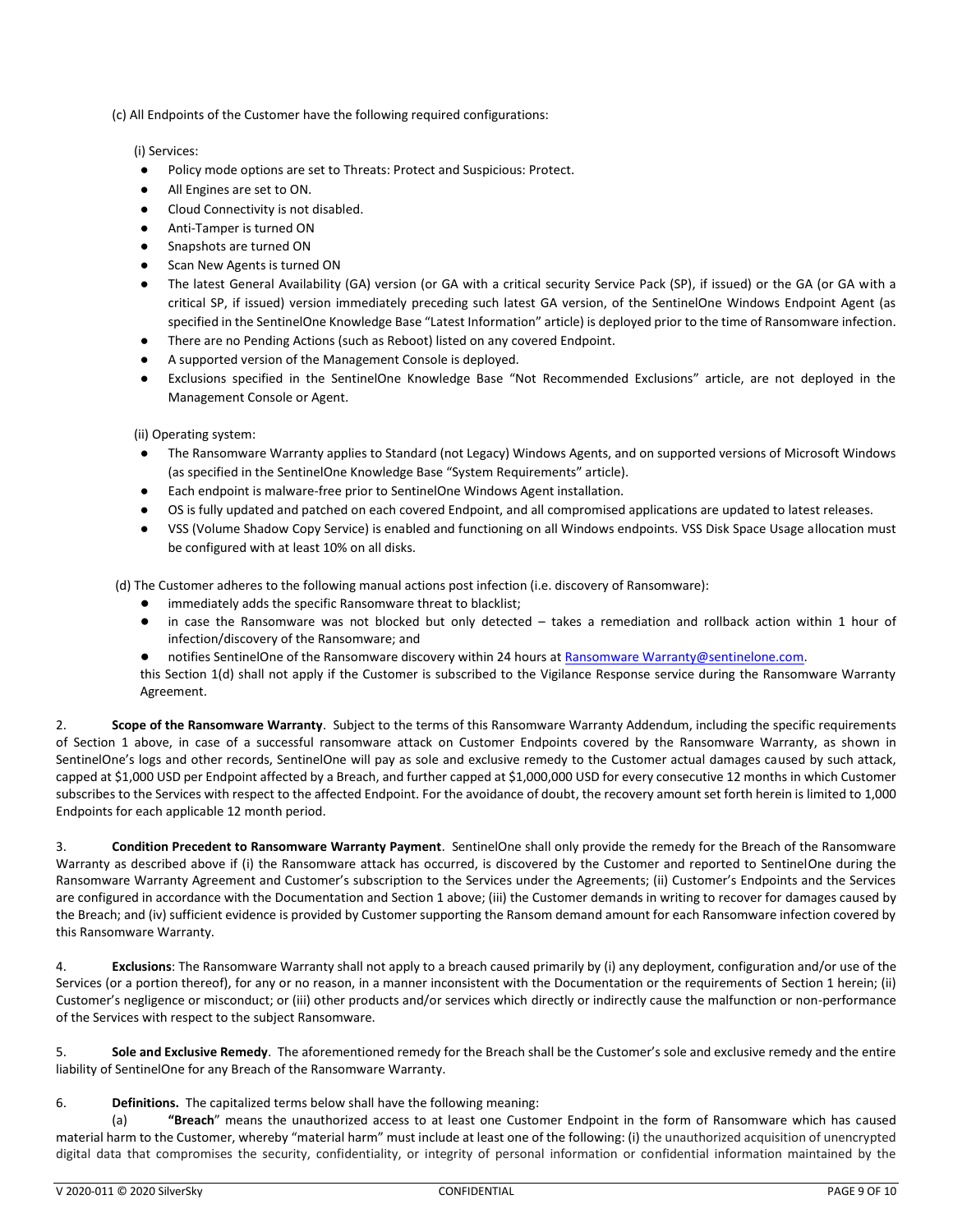(c) All Endpoints of the Customer have the following required configurations:

(i) Services:

- Policy mode options are set to Threats: Protect and Suspicious: Protect.
- All Engines are set to ON.
- Cloud Connectivity is not disabled.
- Anti-Tamper is turned ON
- Snapshots are turned ON
- Scan New Agents is turned ON
- The latest General Availability (GA) version (or GA with a critical security Service Pack (SP), if issued) or the GA (or GA with a critical SP, if issued) version immediately preceding such latest GA version, of the SentinelOne Windows Endpoint Agent (as specified in the SentinelOne Knowledge Base "Latest Information" article) is deployed prior to the time of Ransomware infection.
- There are no Pending Actions (such as Reboot) listed on any covered Endpoint.
- A supported version of the Management Console is deployed.
- Exclusions specified in the SentinelOne Knowledge Base "Not Recommended Exclusions" article, are not deployed in the Management Console or Agent.

(ii) Operating system:

- The Ransomware Warranty applies to Standard (not Legacy) Windows Agents, and on supported versions of Microsoft Windows (as specified in the SentinelOne Knowledge Base "System Requirements" article).
- Each endpoint is malware-free prior to SentinelOne Windows Agent installation.
- OS is fully updated and patched on each covered Endpoint, and all compromised applications are updated to latest releases.
- VSS (Volume Shadow Copy Service) is enabled and functioning on all Windows endpoints. VSS Disk Space Usage allocation must be configured with at least 10% on all disks.

(d) The Customer adheres to the following manual actions post infection (i.e. discovery of Ransomware):

- immediately adds the specific Ransomware threat to blacklist;
- in case the Ransomware was not blocked but only detected takes a remediation and rollback action within 1 hour of infection/discovery of the Ransomware; and
- notifies SentinelOne of the Ransomware discovery within 24 hours at Ransomware Warranty@sentinelone.com. this Section 1(d) shall not apply if the Customer is subscribed to the Vigilance Response service during the Ransomware Warranty Agreement.

2. **Scope of the Ransomware Warranty**. Subject to the terms of this Ransomware Warranty Addendum, including the specific requirements of Section 1 above, in case of a successful ransomware attack on Customer Endpoints covered by the Ransomware Warranty, as shown in SentinelOne's logs and other records, SentinelOne will pay as sole and exclusive remedy to the Customer actual damages caused by such attack, capped at \$1,000 USD per Endpoint affected by a Breach, and further capped at \$1,000,000 USD for every consecutive 12 months in which Customer subscribes to the Services with respect to the affected Endpoint. For the avoidance of doubt, the recovery amount set forth herein is limited to 1,000 Endpoints for each applicable 12 month period.

3. **Condition Precedent to Ransomware Warranty Payment**. SentinelOne shall only provide the remedy for the Breach of the Ransomware Warranty as described above if (i) the Ransomware attack has occurred, is discovered by the Customer and reported to SentinelOne during the Ransomware Warranty Agreement and Customer's subscription to the Services under the Agreements; (ii) Customer's Endpoints and the Services are configured in accordance with the Documentation and Section 1 above; (iii) the Customer demands in writing to recover for damages caused by the Breach; and (iv) sufficient evidence is provided by Customer supporting the Ransom demand amount for each Ransomware infection covered by this Ransomware Warranty.

4. **Exclusions**: The Ransomware Warranty shall not apply to a breach caused primarily by (i) any deployment, configuration and/or use of the Services (or a portion thereof), for any or no reason, in a manner inconsistent with the Documentation or the requirements of Section 1 herein; (ii) Customer's negligence or misconduct; or (iii) other products and/or services which directly or indirectly cause the malfunction or non-performance of the Services with respect to the subject Ransomware.

5. **Sole and Exclusive Remedy**. The aforementioned remedy for the Breach shall be the Customer's sole and exclusive remedy and the entire liability of SentinelOne for any Breach of the Ransomware Warranty.

## 6. **Definitions.** The capitalized terms below shall have the following meaning:

(a) **"Breach**" means the unauthorized access to at least one Customer Endpoint in the form of Ransomware which has caused material harm to the Customer, whereby "material harm" must include at least one of the following: (i) the unauthorized acquisition of unencrypted digital data that compromises the security, confidentiality, or integrity of personal information or confidential information maintained by the